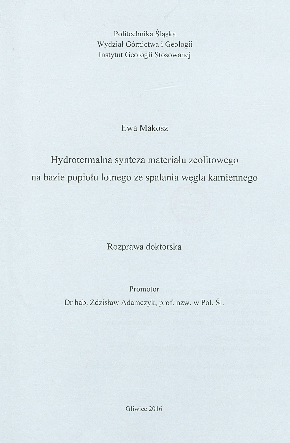Politechnika Śląska Wydział Górnictwa i Geologii Instytut Geologii Stosowanej

Ewa Makosz

Hydrotermalna synteza materiału zeolitowego na bazie popiołu lotnego ze spalania węgla kamiennego

Rozprawa doktorska

Promotor

Dr hab. Zdzisław Adamczyk, prof. nzw. w Pol. Śl.

Gliwice 2016